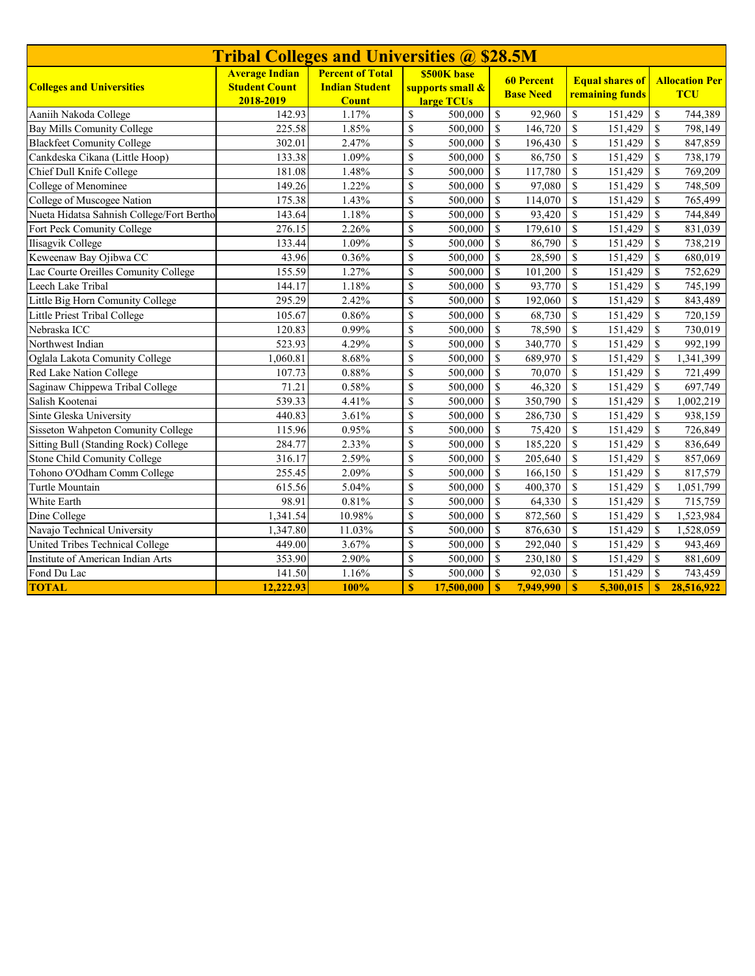| <b>Tribal Colleges and Universities @ \$28.5M</b> |                                                            |                                                                  |                                                                                               |            |                                           |           |                    |                                     |               |            |
|---------------------------------------------------|------------------------------------------------------------|------------------------------------------------------------------|-----------------------------------------------------------------------------------------------|------------|-------------------------------------------|-----------|--------------------|-------------------------------------|---------------|------------|
| <b>Colleges and Universities</b>                  | <b>Average Indian</b><br><b>Student Count</b><br>2018-2019 | <b>Percent of Total</b><br><b>Indian Student</b><br><b>Count</b> | <b>\$500K base</b><br><b>60 Percent</b><br>supports small &<br><b>Base Need</b><br>large TCUs |            | <b>Equal shares of</b><br>remaining funds |           |                    | <b>Allocation Per</b><br><b>TCU</b> |               |            |
| Aaniih Nakoda College                             | 142.93                                                     | 1.17%                                                            | \$                                                                                            | 500,000    | \$                                        | 92,960    | \$                 | 151,429                             | \$            | 744,389    |
| Bay Mills Comunity College                        | 225.58                                                     | 1.85%                                                            | \$                                                                                            | 500,000    | \$                                        | 146,720   | $\mathbb{S}$       | 151,429                             | $\mathbb{S}$  | 798,149    |
| Blackfeet Comunity College                        | 302.01                                                     | 2.47%                                                            | \$                                                                                            | 500,000    | \$                                        | 196,430   | $\mathbb{S}$       | 151,429                             | $\mathbb{S}$  | 847,859    |
| Cankdeska Cikana (Little Hoop)                    | 133.38                                                     | 1.09%                                                            | \$                                                                                            | 500,000    | $\mathbb{S}$                              | 86,750    | \$                 | 151,429                             | $\mathbb{S}$  | 738,179    |
| Chief Dull Knife College                          | 181.08                                                     | 1.48%                                                            | \$                                                                                            | 500,000    | \$                                        | 117,780   | \$                 | 151,429                             | $\mathbb{S}$  | 769,209    |
| College of Menominee                              | 149.26                                                     | 1.22%                                                            | \$                                                                                            | 500,000    | \$                                        | 97,080    | $\mathbb S$        | 151,429                             | $\mathbb{S}$  | 748,509    |
| College of Muscogee Nation                        | 175.38                                                     | 1.43%                                                            | \$                                                                                            | 500,000    | \$                                        | 114,070   | \$                 | 151,429                             | \$            | 765,499    |
| Nueta Hidatsa Sahnish College/Fort Bertho         | 143.64                                                     | 1.18%                                                            | \$                                                                                            | 500,000    | \$                                        | 93,420    | \$                 | 151,429                             | $\mathbb{S}$  | 744,849    |
| Fort Peck Comunity College                        | 276.15                                                     | 2.26%                                                            | \$                                                                                            | 500,000    | \$                                        | 179,610   | $\mathbb{S}$       | 151,429                             | $\mathbb{S}$  | 831,039    |
| Ilisagvik College                                 | 133.44                                                     | 1.09%                                                            | \$                                                                                            | 500,000    | $\mathbb{S}$                              | 86,790    | $\mathbf{\hat{S}}$ | 151,429                             | $\mathbb{S}$  | 738,219    |
| Keweenaw Bay Ojibwa CC                            | 43.96                                                      | 0.36%                                                            | \$                                                                                            | 500,000    | \$                                        | 28,590    | $\mathbb S$        | 151,429                             | $\mathbb S$   | 680,019    |
| Lac Courte Oreilles Comunity College              | 155.59                                                     | 1.27%                                                            | \$                                                                                            | 500,000    | $\mathbf S$                               | 101,200   | $\mathbb{S}$       | 151,429                             | $\mathbb{S}$  | 752,629    |
| Leech Lake Tribal                                 | 144.17                                                     | 1.18%                                                            | \$                                                                                            | 500,000    | $\mathbf S$                               | 93,770    | $\mathbb S$        | 151,429                             | $\mathbb{S}$  | 745,199    |
| Little Big Horn Comunity College                  | 295.29                                                     | 2.42%                                                            | \$                                                                                            | 500,000    | $\mathbb{S}$                              | 192,060   | \$                 | 151,429                             | $\mathbb{S}$  | 843,489    |
| Little Priest Tribal College                      | 105.67                                                     | 0.86%                                                            | $\overline{\mathbb{S}}$                                                                       | 500,000    | \$                                        | 68,730    | \$                 | 151,429                             | $\mathbb{S}$  | 720,159    |
| Nebraska ICC                                      | 120.83                                                     | 0.99%                                                            | \$                                                                                            | 500,000    | \$                                        | 78,590    | \$                 | 151,429                             | \$            | 730,019    |
| Northwest Indian                                  | 523.93                                                     | 4.29%                                                            | \$                                                                                            | 500,000    | \$                                        | 340,770   | \$                 | 151,429                             | $\mathbb{S}$  | 992,199    |
| Oglala Lakota Comunity College                    | 1,060.81                                                   | 8.68%                                                            | \$                                                                                            | 500,000    | \$                                        | 689,970   | \$                 | 151,429                             | $\mathcal{S}$ | 1,341,399  |
| Red Lake Nation College                           | 107.73                                                     | 0.88%                                                            | \$                                                                                            | 500,000    | $\mathbf S$                               | 70,070    | \$                 | 151,429                             | $\mathbb{S}$  | 721,499    |
| Saginaw Chippewa Tribal College                   | 71.21                                                      | 0.58%                                                            | \$                                                                                            | 500,000    | $\mathbb{S}$                              | 46,320    | \$                 | 151,429                             | $\mathbb{S}$  | 697,749    |
| Salish Kootenai                                   | 539.33                                                     | 4.41%                                                            | \$                                                                                            | 500,000    | \$                                        | 350,790   | \$                 | 151,429                             | \$            | 1,002,219  |
| Sinte Gleska University                           | 440.83                                                     | 3.61%                                                            | \$                                                                                            | 500,000    | <sup>\$</sup>                             | 286,730   | \$                 | 151,429                             | \$            | 938,159    |
| <b>Sisseton Wahpeton Comunity College</b>         | 115.96                                                     | 0.95%                                                            | \$                                                                                            | 500,000    | \$                                        | 75,420    | \$                 | 151,429                             | $\mathbb{S}$  | 726,849    |
| <b>Sitting Bull (Standing Rock) College</b>       | 284.77                                                     | 2.33%                                                            | \$                                                                                            | 500,000    | \$                                        | 185,220   | \$                 | 151,429                             | $\mathbb{S}$  | 836,649    |
| Stone Child Comunity College                      | 316.17                                                     | 2.59%                                                            | \$                                                                                            | 500,000    | \$                                        | 205,640   | \$                 | 151,429                             | \$            | 857,069    |
| Tohono O'Odham Comm College                       | 255.45                                                     | 2.09%                                                            | \$                                                                                            | 500,000    | \$                                        | 166,150   | \$                 | 151,429                             | $\mathbb{S}$  | 817,579    |
| Turtle Mountain                                   | 615.56                                                     | 5.04%                                                            | \$                                                                                            | 500,000    | <sup>\$</sup>                             | 400,370   | $\mathbb{S}$       | 151,429                             | $\mathbb{S}$  | 1,051,799  |
| White Earth                                       | 98.91                                                      | 0.81%                                                            | \$                                                                                            | 500,000    | \$                                        | 64,330    | \$                 | 151,429                             | \$            | 715,759    |
| Dine College                                      | 1,341.54                                                   | 10.98%                                                           | \$                                                                                            | 500,000    | \$                                        | 872,560   | \$                 | 151,429                             | $\mathbb{S}$  | 1,523,984  |
| Navajo Technical University                       | 1,347.80                                                   | 11.03%                                                           | \$                                                                                            | 500,000    | \$                                        | 876,630   | \$                 | 151,429                             | $\mathbb{S}$  | 1,528,059  |
| United Tribes Technical College                   | 449.00                                                     | 3.67%                                                            | \$                                                                                            | 500,000    | \$                                        | 292,040   | \$                 | 151,429                             | \$            | 943,469    |
| Institute of American Indian Arts                 | 353.90                                                     | 2.90%                                                            | \$                                                                                            | 500,000    | \$                                        | 230,180   | $\mathbb{S}$       | 151,429                             | $\mathbb{S}$  | 881,609    |
| Fond Du Lac                                       | 141.50                                                     | 1.16%                                                            | \$                                                                                            | 500,000    | $\mathbf S$                               | 92,030    | \$                 | 151,429                             | $\mathbb{S}$  | 743,459    |
| <b>TOTAL</b>                                      | 12,222.93                                                  | 100%                                                             | $\mathbf S$                                                                                   | 17,500,000 | $\mathbf{s}$                              | 7,949,990 | $\mathbf{s}$       | 5,300,015                           | $\mathbf{s}$  | 28,516,922 |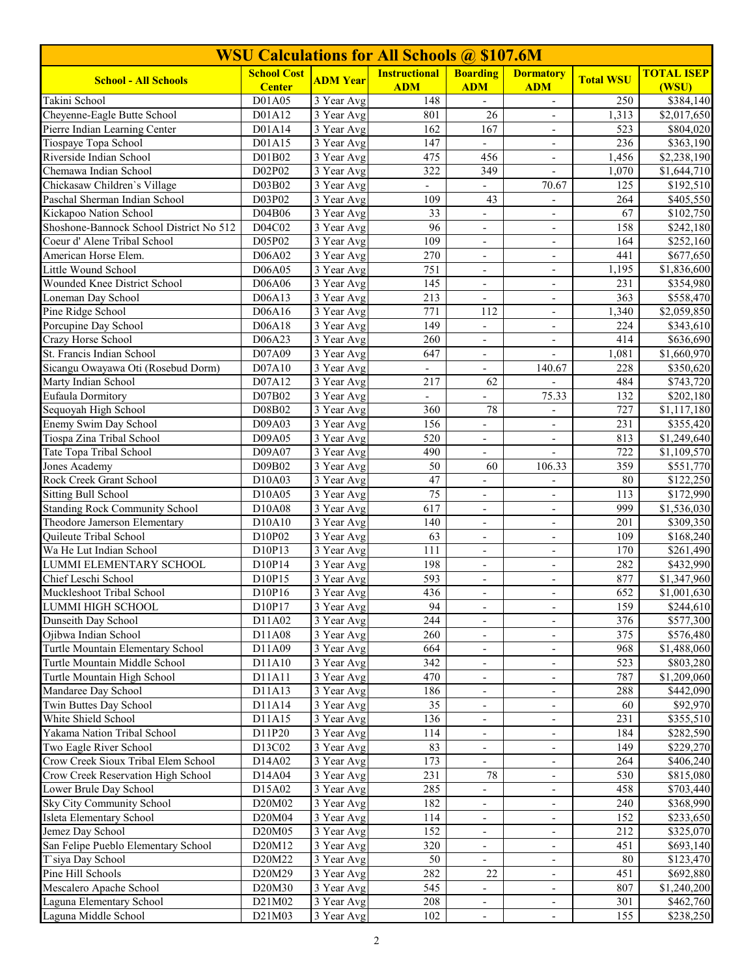| <b>WSU Calculations for All Schools @ \$107.6M</b>    |                    |                                       |                          |                                                      |                                                      |                  |                         |  |  |
|-------------------------------------------------------|--------------------|---------------------------------------|--------------------------|------------------------------------------------------|------------------------------------------------------|------------------|-------------------------|--|--|
| <b>School - All Schools</b>                           | <b>School Cost</b> | <b>ADM Year</b>                       | <b>Instructional</b>     | <b>Boarding</b>                                      | <b>Dormatory</b>                                     | <b>Total WSU</b> | <b>TOTAL ISEP</b>       |  |  |
|                                                       | <b>Center</b>      |                                       | <b>ADM</b>               | <b>ADM</b>                                           | <b>ADM</b>                                           |                  | (WSU)                   |  |  |
| Takini School                                         | D01A05             | 3 Year Avg                            | 148                      |                                                      | $\overline{\phantom{a}}$                             | 250              | \$384,140               |  |  |
| Cheyenne-Eagle Butte School                           | D01A12             | $\overline{3}$ Year Avg               | 801<br>162               | 26<br>167                                            | $\overline{\phantom{a}}$                             | 1,313            | $\overline{$2,017,650}$ |  |  |
| Pierre Indian Learning Center<br>Tiospaye Topa School | D01A14             | 3 Year Avg<br>$\overline{3}$ Year Avg | 147                      | $\mathcal{L}$                                        | $\overline{\phantom{a}}$                             | 523<br>236       | \$804,020<br>\$363,190  |  |  |
| Riverside Indian School                               | D01A15<br>D01B02   | 3 Year Avg                            | 475                      | 456                                                  | $\overline{\phantom{a}}$<br>$\overline{\phantom{a}}$ | 1,456            | \$2,238,190             |  |  |
| Chemawa Indian School                                 | D02P02             | 3 Year Avg                            | 322                      | 349                                                  | $\overline{\phantom{a}}$                             | 1,070            | \$1,644,710             |  |  |
| Chickasaw Children's Village                          | D03B02             | 3 Year Avg                            | $\overline{\phantom{a}}$ | $\overline{\phantom{a}}$                             | 70.67                                                | 125              | \$192,510               |  |  |
| Paschal Sherman Indian School                         | D03P02             | 3 Year Avg                            | 109                      | 43                                                   | $\frac{1}{2}$                                        | 264              | \$405,550               |  |  |
| Kickapoo Nation School                                | D04B06             | 3 Year Avg                            | 33                       | $\overline{\phantom{a}}$                             | $\overline{\phantom{a}}$                             | 67               | \$102,750               |  |  |
| Shoshone-Bannock School District No 512               | D04C02             | 3 Year Avg                            | $\overline{96}$          | $\overline{\phantom{a}}$                             | $\overline{\phantom{a}}$                             | 158              | \$242,180               |  |  |
| Coeur d' Alene Tribal School                          | D05P02             | 3 Year Avg                            | 109                      | $\overline{\phantom{a}}$                             | $\overline{\phantom{a}}$                             | 164              | \$252,160               |  |  |
| American Horse Elem.                                  | D06A02             | 3 Year Avg                            | 270                      | $\overline{\phantom{a}}$                             | $\overline{\phantom{a}}$                             | 441              | $\overline{$677,650}$   |  |  |
| Little Wound School                                   | D06A05             | 3 Year Avg                            | 751                      |                                                      | $\overline{a}$                                       | 1,195            | \$1,836,600             |  |  |
| Wounded Knee District School                          | D06A06             | $\overline{3}$ Year Avg               | 145                      | $\blacksquare$                                       | $\overline{\phantom{a}}$                             | 231              | \$354,980               |  |  |
| Loneman Day School                                    | D06A13             | 3 Year Avg                            | 213                      | $\blacksquare$                                       | $\blacksquare$                                       | 363              | \$558,470               |  |  |
| Pine Ridge School                                     | D06A16             | 3 Year Avg                            | 771                      | 112                                                  | $\overline{\phantom{a}}$                             | 1,340            | \$2,059,850             |  |  |
| Porcupine Day School                                  | D06A18             | 3 Year Avg                            | 149                      | $\overline{\phantom{a}}$                             | $\overline{\phantom{a}}$                             | 224              | \$343,610               |  |  |
| Crazy Horse School                                    | D06A23             | 3 Year Avg                            | 260                      |                                                      | $\overline{\phantom{a}}$                             | 414              | \$636,690               |  |  |
| St. Francis Indian School                             | D07A09             | 3 Year Avg                            | 647                      | $\overline{\phantom{a}}$                             | $\overline{\phantom{a}}$                             | 1,081            | $\overline{1,660,970}$  |  |  |
| Sicangu Owayawa Oti (Rosebud Dorm)                    | D07A10             | 3 Year Avg                            | $\overline{\phantom{a}}$ | $\overline{\phantom{0}}$                             | 140.67                                               | 228              | \$350,620               |  |  |
| Marty Indian School                                   | D07A12             | 3 Year Avg                            | 217                      | 62                                                   |                                                      | 484              | \$743,720               |  |  |
| Eufaula Dormitory                                     | D07B02             | 3 Year Avg                            |                          |                                                      | 75.33                                                | 132              | \$202,180               |  |  |
| Sequoyah High School                                  | D08B02             | 3 Year Avg                            | 360                      | 78                                                   |                                                      | 727              | \$1,117,180             |  |  |
| Enemy Swim Day School                                 | D09A03             | $\overline{3}$ Year Avg               | 156                      | $\blacksquare$                                       | $\blacksquare$                                       | 231              | \$355,420               |  |  |
| Tiospa Zina Tribal School                             | D09A05             | 3 Year Avg                            | 520                      | $\overline{\phantom{a}}$                             | $\overline{\phantom{a}}$                             | 813              | \$1,249,640             |  |  |
| Tate Topa Tribal School                               | D09A07             | 3 Year Avg                            | 490                      | $\overline{\phantom{a}}$                             | $\overline{\phantom{a}}$                             | 722              | \$1,109,570             |  |  |
| Jones Academy                                         | D09B02             | 3 Year Avg                            | 50                       | 60                                                   | 106.33                                               | 359              | \$551,770               |  |  |
| Rock Creek Grant School                               | D10A03             | 3 Year Avg                            | 47                       |                                                      |                                                      | 80               | \$122,250               |  |  |
| <b>Sitting Bull School</b>                            | D10A05             | 3 Year Avg                            | 75                       | $\overline{\phantom{a}}$                             | $\overline{\phantom{a}}$                             | 113              | \$172,990               |  |  |
| <b>Standing Rock Community School</b>                 | D10A08             | 3 Year Avg                            | 617                      | $\overline{\phantom{a}}$                             | $\overline{\phantom{a}}$                             | 999              | \$1,536,030             |  |  |
| Theodore Jamerson Elementary                          | D10A10             | $\overline{3}$ Year Avg               | 140                      | $\overline{\phantom{a}}$                             | $\overline{\phantom{a}}$                             | 201              | \$309,350               |  |  |
| Quileute Tribal School                                | D10P02             | 3 Year Avg                            | 63                       | $\overline{\phantom{a}}$                             | $\overline{\phantom{a}}$                             | 109              | \$168,240               |  |  |
| Wa He Lut Indian School                               | D10P13             | 3 Year Avg                            | 111                      |                                                      | $\overline{\phantom{a}}$                             | 170              | \$261,490               |  |  |
| <b>LUMMI ELEMENTARY SCHOOL</b>                        | D10P14             | $\overline{3}$ Year Avg               | 198                      | $\blacksquare$                                       | $\overline{\phantom{a}}$                             | 282              | \$432,990               |  |  |
| Chief Leschi School<br>Muckleshoot Tribal School      | D10P15<br>D10P16   | 3 Year Avg                            | 593<br>436               | $\overline{\phantom{a}}$                             | $\overline{\phantom{a}}$                             | 877<br>652       | \$1,347,960             |  |  |
|                                                       |                    | 3 Year Avg                            | 94                       | $\overline{\phantom{a}}$                             | ۰.                                                   |                  | \$1,001,630             |  |  |
| LUMMI HIGH SCHOOL<br>Dunseith Day School              | D10P17<br>D11A02   | 3 Year Avg<br>3 Year Avg              | 244                      | $\overline{\phantom{a}}$                             | $\overline{\phantom{a}}$                             | 159<br>376       | \$244,610<br>\$577,300  |  |  |
| Ojibwa Indian School                                  | D11A08             | 3 Year Avg                            | 260                      | $\overline{\phantom{a}}$<br>$\overline{\phantom{a}}$ | $\overline{\phantom{a}}$<br>$\overline{\phantom{a}}$ | 375              | \$576,480               |  |  |
| Turtle Mountain Elementary School                     | D11A09             | 3 Year Avg                            | 664                      | $\overline{\phantom{a}}$                             | $\overline{\phantom{a}}$                             | 968              | \$1,488,060             |  |  |
| Turtle Mountain Middle School                         | D11A10             | 3 Year Avg                            | 342                      | $\overline{\phantom{a}}$                             | $\overline{\phantom{a}}$                             | 523              | \$803,280               |  |  |
| Turtle Mountain High School                           | D11A11             | 3 Year Avg                            | 470                      |                                                      | $\overline{\phantom{a}}$                             | 787              | \$1,209,060             |  |  |
| Mandaree Day School                                   | D11A13             | $\overline{3}$ Year Avg               | 186                      |                                                      |                                                      | 288              | \$442,090               |  |  |
| Twin Buttes Day School                                | D11A14             | 3 Year Avg                            | 35                       | $\overline{\phantom{a}}$                             | $\overline{\phantom{a}}$                             | 60               | \$92,970                |  |  |
| White Shield School                                   | D11A15             | 3 Year Avg                            | 136                      | $\overline{\phantom{a}}$                             | $\overline{\phantom{a}}$                             | 231              | \$355,510               |  |  |
| Yakama Nation Tribal School                           | D11P20             | 3 Year Avg                            | 114                      | $\overline{\phantom{a}}$                             | $\overline{\phantom{a}}$                             | 184              | \$282,590               |  |  |
| Two Eagle River School                                | D13C02             | 3 Year Avg                            | 83                       | $\overline{\phantom{a}}$                             | $\overline{\phantom{a}}$                             | 149              | \$229,270               |  |  |
| Crow Creek Sioux Tribal Elem School                   | D14A02             | 3 Year Avg                            | 173                      | $\overline{\phantom{a}}$                             | $\overline{\phantom{a}}$                             | 264              | \$406,240               |  |  |
| Crow Creek Reservation High School                    | D14A04             | 3 Year Avg                            | 231                      | $78\,$                                               | $\overline{\phantom{a}}$                             | 530              | \$815,080               |  |  |
| Lower Brule Day School                                | D15A02             | 3 Year Avg                            | 285                      | $\overline{\phantom{0}}$                             | $\overline{\phantom{a}}$                             | 458              | \$703,440               |  |  |
| Sky City Community School                             | D20M02             | 3 Year Avg                            | 182                      | $\overline{\phantom{a}}$                             | $\overline{\phantom{a}}$                             | 240              | \$368,990               |  |  |
| Isleta Elementary School                              | D20M04             | 3 Year Avg                            | 114                      |                                                      | $\qquad \qquad \blacksquare$                         | 152              | \$233,650               |  |  |
| Jemez Day School                                      | D20M05             | 3 Year Avg                            | 152                      |                                                      | $\overline{\phantom{m}}$                             | 212              | \$325,070               |  |  |
| San Felipe Pueblo Elementary School                   | D20M12             | 3 Year Avg                            | 320                      | $\overline{\phantom{a}}$                             | $\overline{\phantom{a}}$                             | 451              | \$693,140               |  |  |
| T'siya Day School                                     | D20M22             | 3 Year Avg                            | 50                       | $\overline{\phantom{a}}$                             | $\overline{\phantom{a}}$                             | $80\,$           | \$123,470               |  |  |
| Pine Hill Schools                                     | D20M29             | 3 Year Avg                            | 282                      | $22\,$                                               | $\overline{\phantom{a}}$                             | 451              | \$692,880               |  |  |
| Mescalero Apache School                               | D20M30             | 3 Year Avg                            | 545                      | $\overline{\phantom{a}}$                             | $\overline{\phantom{a}}$                             | 807              | \$1,240,200             |  |  |
| Laguna Elementary School                              | D21M02             | 3 Year Avg                            | 208                      | $\overline{\phantom{a}}$                             | $\overline{\phantom{a}}$                             | 301              | \$462,760               |  |  |
| Laguna Middle School                                  | D21M03             | 3 Year Avg                            | 102                      | $\blacksquare$                                       | $\overline{\phantom{a}}$                             | 155              | \$238,250               |  |  |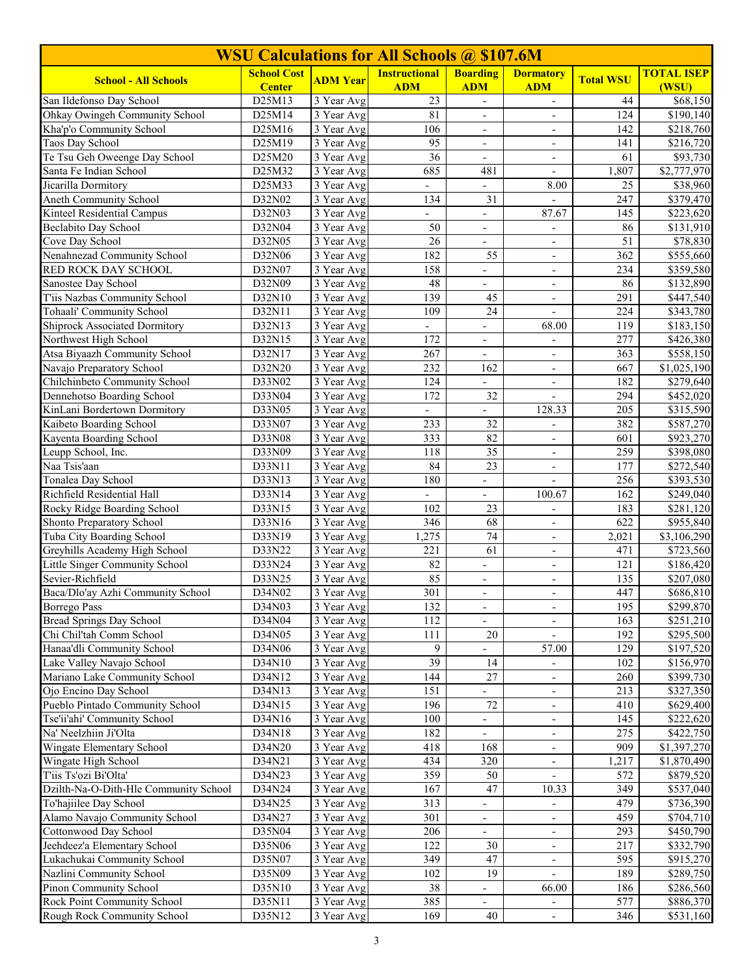| <b>WSU Calculations for All Schools @ \$107.6M</b>         |                    |                                       |                          |                                    |                                   |                  |                                   |  |
|------------------------------------------------------------|--------------------|---------------------------------------|--------------------------|------------------------------------|-----------------------------------|------------------|-----------------------------------|--|
| <b>School - All Schools</b>                                | <b>School Cost</b> | <b>ADM</b> Year                       | <b>Instructional</b>     | <b>Boarding</b>                    | <b>Dormatory</b>                  | <b>Total WSU</b> | <b>TOTAL ISEP</b>                 |  |
|                                                            | <b>Center</b>      |                                       | <b>ADM</b>               | <b>ADM</b>                         | <b>ADM</b>                        |                  | (WSU)                             |  |
| San Ildefonso Day School                                   | D25M13             | $\overline{3}$ Year Avg               | 23<br>81                 |                                    | $\overline{\phantom{a}}$          | 44<br>124        | \$68,150<br>$\overline{$}190,140$ |  |
| Ohkay Owingeh Community School<br>Kha'p'o Community School | D25M14<br>D25M16   | $\overline{3}$ Year Avg<br>3 Year Avg | 106                      | $\blacksquare$                     | $\overline{\phantom{a}}$          | 142              | \$218,760                         |  |
| Taos Day School                                            | D25M19             | $\overline{3}$ Year Avg               | 95                       | $\blacksquare$                     | $\overline{\phantom{a}}$          | 141              | \$216,720                         |  |
| Te Tsu Geh Oweenge Day School                              | D25M20             | 3 Year Avg                            | 36                       | $\overline{\phantom{a}}$           | $\overline{\phantom{a}}$          | 61               | $\overline{$}93,730$              |  |
| Santa Fe Indian School                                     | D25M32             | 3 Year Avg                            | 685                      | 481                                | $\overline{\phantom{a}}$          | 1,807            | \$2,777,970                       |  |
| Jicarilla Dormitory                                        | D25M33             | 3 Year Avg                            | $\overline{\phantom{0}}$ | $\overline{\phantom{0}}$           | 8.00                              | 25               | \$38,960                          |  |
| Aneth Community School                                     | D32N02             | 3 Year Avg                            | 134                      | 31                                 |                                   | 247              | \$379,470                         |  |
| Kinteel Residential Campus                                 | D32N03             | 3 Year Avg                            |                          | $\overline{\phantom{a}}$           | 87.67                             | 145              | \$223,620                         |  |
| Beclabito Day School                                       | D32N04             | 3 Year Avg                            | 50                       | $\overline{\phantom{a}}$           | $\overline{\phantom{a}}$          | 86               | \$131,910                         |  |
| Cove Day School                                            | D32N05             | 3 Year Avg                            | 26                       | $\overline{\phantom{a}}$           | $\blacksquare$                    | 51               | \$78,830                          |  |
| Nenahnezad Community School                                | D32N06             | 3 Year Avg                            | 182                      | 55                                 | $\overline{\phantom{a}}$          | 362              | \$555,660                         |  |
| RED ROCK DAY SCHOOL                                        | D32N07             | 3 Year Avg                            | 158                      | $\frac{1}{2}$                      |                                   | 234              | \$359,580                         |  |
| Sanostee Day School                                        | D32N09             | $\overline{3}$ Year Avg               | 48                       | $\overline{\phantom{a}}$           | $\overline{\phantom{a}}$          | 86               | \$132,890                         |  |
| T'iis Nazbas Community School                              | D32N10             | 3 Year Avg                            | 139                      | 45                                 | $\blacksquare$                    | 291              | \$447,540                         |  |
| Tohaali' Community School                                  | D32N11             | 3 Year Avg                            | 109                      | 24                                 | $\overline{\phantom{a}}$          | 224              | \$343,780                         |  |
| <b>Shiprock Associated Dormitory</b>                       | D32N13             | 3 Year Avg                            | $\overline{\phantom{0}}$ | $\overline{\phantom{0}}$           | 68.00                             | 119              | $\overline{$}183,150$             |  |
| Northwest High School                                      | D32N15             | 3 Year Avg                            | 172                      |                                    |                                   | 277              | \$426,380                         |  |
| Atsa Biyaazh Community School                              | D32N17             | 3 Year Avg                            | 267                      | $\overline{\phantom{a}}$           | $\blacksquare$                    | 363              | \$558,150                         |  |
| Navajo Preparatory School                                  | D32N20             | 3 Year Avg                            | 232                      | 162                                | $\overline{\phantom{a}}$          | 667              | \$1,025,190                       |  |
| Chilchinbeto Community School                              | D33N02             | $\overline{3}$ Year Avg               | 124                      |                                    | $\overline{\phantom{a}}$          | 182              | \$279,640                         |  |
| Dennehotso Boarding School                                 | D33N04             | 3 Year Avg                            | 172                      | $\overline{32}$                    |                                   | 294              | \$452,020                         |  |
| KinLani Bordertown Dormitory                               | D33N05             | 3 Year Avg                            | ÷.                       | $\frac{1}{2}$                      | 128.33                            | 205              | \$315,590                         |  |
| Kaibeto Boarding School                                    | D33N07             | $\overline{3}$ Year Avg               | 233                      | $\overline{32}$                    | $\blacksquare$                    | 382              | \$587,270                         |  |
| Kayenta Boarding School                                    | D33N08             | 3 Year Avg                            | 333                      | 82                                 | $\overline{\phantom{a}}$          | 601              | $\overline{$}923,270$             |  |
| Leupp School, Inc.                                         | D33N09             | 3 Year Avg                            | 118                      | 35                                 | $\overline{\phantom{a}}$          | 259              | \$398,080                         |  |
| Naa Tsis'aan                                               | D33N11             | 3 Year Avg                            | 84                       | 23                                 | $\overline{\phantom{a}}$          | 177              | \$272,540                         |  |
| Tonalea Day School                                         | D33N13             | 3 Year Avg                            | 180                      |                                    |                                   | 256              | \$393,530                         |  |
| Richfield Residential Hall                                 | D33N14             | 3 Year Avg                            | $\blacksquare$           |                                    | 100.67                            | 162              | \$249,040                         |  |
| Rocky Ridge Boarding School                                | D33N15             | 3 Year Avg                            | 102                      | 23                                 | $\overline{\phantom{a}}$          | 183              | \$281,120                         |  |
| Shonto Preparatory School                                  | D33N16             | $\overline{3}$ Year Avg               | 346                      | 68                                 | $\overline{\phantom{a}}$          | 622              | \$955,840                         |  |
| Tuba City Boarding School                                  | D33N19             | 3 Year Avg                            | 1,275                    | 74                                 | $\overline{\phantom{a}}$          | 2,021            | \$3,106,290                       |  |
| Greyhills Academy High School                              | D33N22             | 3 Year Avg                            | 221                      | 61                                 | ÷,                                | 471              | \$723,560                         |  |
| Little Singer Community School                             | D33N24             | $\overline{3}$ Year Avg               | 82                       | $\frac{1}{2}$                      | $\overline{\phantom{a}}$          | 121              | \$186,420                         |  |
| Sevier-Richfield                                           | D33N25<br>D34N02   | 3 Year Avg                            | 85                       | $\overline{\phantom{a}}$           | $\overline{\phantom{a}}$          | 135              | \$207,080                         |  |
| Baca/Dlo'ay Azhi Community School                          |                    | 3 Year Avg                            | 301                      | $\overline{\phantom{a}}$           | $\overline{\phantom{a}}$          | 447              | \$686,810                         |  |
| Borrego Pass<br><b>Bread Springs Day School</b>            | D34N03             | 3 Year Avg                            | 132                      | $\overline{\phantom{a}}$           | $\overline{\phantom{a}}$          | 195              | \$299,870                         |  |
| Chi Chil'tah Comm School                                   | D34N04<br>D34N05   | 3 Year Avg<br>3 Year Avg              | 112<br>111               | $\overline{\phantom{a}}$<br>$20\,$ | $\overline{\phantom{a}}$          | 163<br>192       | \$251,210<br>\$295,500            |  |
| Hanaa'dli Community School                                 | D34N06             | 3 Year Avg                            | 9                        |                                    | $\overline{\phantom{a}}$<br>57.00 | 129              |                                   |  |
| Lake Valley Navajo School                                  | D34N10             | 3 Year Avg                            | $\overline{39}$          | 14                                 |                                   | 102              | \$197,520<br>\$156,970            |  |
| Mariano Lake Community School                              | D34N12             | 3 Year Avg                            | 144                      | 27                                 | $\overline{\phantom{a}}$          | 260              | \$399,730                         |  |
| Ojo Encino Day School                                      | D34N13             | 3 Year Avg                            | 151                      |                                    |                                   | 213              | \$327,350                         |  |
| Pueblo Pintado Community School                            | D34N15             | 3 Year Avg                            | 196                      | 72                                 | $\overline{\phantom{a}}$          | 410              | \$629,400                         |  |
| Tse'ii'ahi' Community School                               | D34N16             | 3 Year Avg                            | 100                      | $\overline{\phantom{a}}$           | $\overline{\phantom{a}}$          | 145              | \$222,620                         |  |
| Na' Neelzhiin Ji'Olta                                      | D34N18             | 3 Year Avg                            | 182                      | $\overline{\phantom{a}}$           | $\overline{\phantom{a}}$          | 275              | \$422,750                         |  |
| Wingate Elementary School                                  | D34N20             | 3 Year Avg                            | 418                      | 168                                | $\overline{\phantom{a}}$          | 909              | \$1,397,270                       |  |
| Wingate High School                                        | D34N21             | 3 Year Avg                            | 434                      | 320                                | $\overline{\phantom{a}}$          | 1,217            | \$1,870,490                       |  |
| T'iis Ts'ozi Bi'Olta'                                      | D34N23             | 3 Year Avg                            | 359                      | 50                                 | $\blacksquare$                    | 572              | \$879,520                         |  |
| Dzilth-Na-O-Dith-Hle Community School                      | D34N24             | 3 Year Avg                            | 167                      | 47                                 | 10.33                             | 349              | \$537,040                         |  |
| To'hajiilee Day School                                     | D34N25             | 3 Year Avg                            | 313                      |                                    | $\overline{\phantom{a}}$          | 479              | \$736,390                         |  |
| Alamo Navajo Community School                              | D34N27             | 3 Year Avg                            | 301                      |                                    |                                   | 459              | \$704,710                         |  |
| Cottonwood Day School                                      | D35N04             | 3 Year Avg                            | 206                      |                                    | $\overline{a}$                    | 293              | \$450,790                         |  |
| Jeehdeez'a Elementary School                               | D35N06             | 3 Year Avg                            | 122                      | $30\,$                             | $\overline{\phantom{a}}$          | 217              | \$332,790                         |  |
| Lukachukai Community School                                | D35N07             | 3 Year Avg                            | 349                      | 47                                 | $\overline{\phantom{a}}$          | 595              | \$915,270                         |  |
| Nazlini Community School                                   | D35N09             | 3 Year Avg                            | 102                      | 19                                 | $\overline{\phantom{a}}$          | 189              | \$289,750                         |  |
| Pinon Community School                                     | D35N10             | 3 Year Avg                            | 38                       | $\overline{\phantom{a}}$           | 66.00                             | 186              | \$286,560                         |  |
| Rock Point Community School                                | D35N11             | 3 Year Avg                            | 385                      | $\overline{\phantom{0}}$           |                                   | 577              | \$886,370                         |  |
| Rough Rock Community School                                | D35N12             | 3 Year Avg                            | 169                      | 40                                 | $\overline{\phantom{a}}$          | 346              | \$531,160                         |  |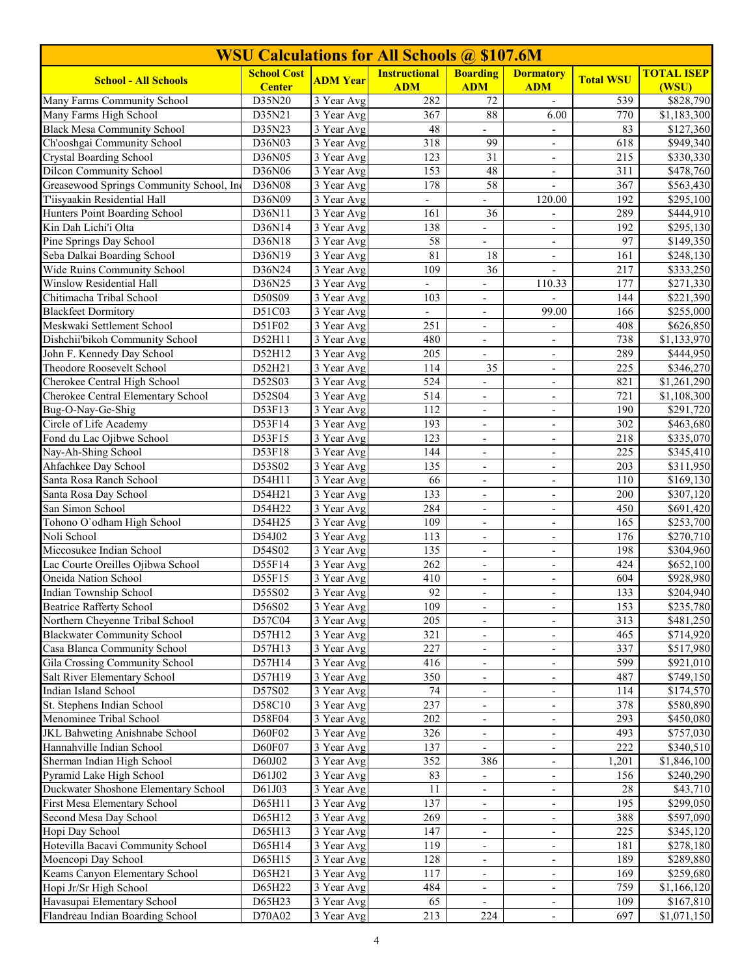| <b>WSU Calculations for All Schools @ \$107.6M</b>                 |                    |                                                    |                          |                          |                                                      |                  |                                      |  |
|--------------------------------------------------------------------|--------------------|----------------------------------------------------|--------------------------|--------------------------|------------------------------------------------------|------------------|--------------------------------------|--|
| <b>School - All Schools</b>                                        | <b>School Cost</b> | <b>ADM Year</b>                                    | <b>Instructional</b>     | <b>Boarding</b>          | <b>Dormatory</b>                                     | <b>Total WSU</b> | <b>TOTAL ISEP</b>                    |  |
|                                                                    | <b>Center</b>      |                                                    | <b>ADM</b>               | <b>ADM</b>               | <b>ADM</b>                                           |                  | (WSU)                                |  |
| Many Farms Community School                                        | D35N20             | $\overline{3}$ Year Avg                            | 282                      | 72                       | $\blacksquare$                                       | 539              | \$828,790                            |  |
| Many Farms High School<br><b>Black Mesa Community School</b>       | D35N21<br>D35N23   | $\overline{3}$ Year Avg<br>$\overline{3}$ Year Avg | 367<br>48                | 88                       | 6.00                                                 | 770<br>83        | \$1,183,300<br>$\overline{$127,360}$ |  |
| Ch'ooshgai Community School                                        | D36N03             | 3 Year Avg                                         | 318                      | 99                       | $\blacksquare$                                       | 618              | \$949,340                            |  |
| <b>Crystal Boarding School</b>                                     | D36N05             | 3 Year Avg                                         | 123                      | 31                       | $\overline{\phantom{a}}$                             | 215              | \$330,330                            |  |
| <b>Dilcon Community School</b>                                     | D36N06             | 3 Year Avg                                         | 153                      | $48\,$                   | $\overline{\phantom{a}}$                             | 311              | \$478,760                            |  |
| Greasewood Springs Community School, Inc                           | D36N08             | 3 Year Avg                                         | 178                      | 58                       | $\overline{\phantom{a}}$                             | 367              | \$563,430                            |  |
| T'iisyaakin Residential Hall                                       | D36N09             | 3 Year Avg                                         |                          |                          | 120.00                                               | 192              | \$295,100                            |  |
| Hunters Point Boarding School                                      | D36N11             | 3 Year Avg                                         | 161                      | 36                       | $\overline{\phantom{a}}$                             | 289              | \$444,910                            |  |
| Kin Dah Lichi'i Olta                                               | D36N14             | 3 Year Avg                                         | 138                      | $\overline{\phantom{a}}$ | $\overline{\phantom{a}}$                             | 192              | \$295,130                            |  |
| Pine Springs Day School                                            | D36N18             | 3 Year Avg                                         | 58                       | $\overline{a}$           | $\overline{\phantom{a}}$                             | 97               | \$149,350                            |  |
| Seba Dalkai Boarding School                                        | D36N19             | $\overline{3}$ Year Avg                            | 81                       | $\overline{18}$          | $\overline{\phantom{a}}$                             | 161              | \$248,130                            |  |
| Wide Ruins Community School                                        | D36N24             | 3 Year Avg                                         | 109                      | 36                       |                                                      | 217              | $\overline{$333,250}$                |  |
| Winslow Residential Hall                                           | D36N25             | 3 Year Avg                                         | $\overline{a}$           | $\overline{a}$           | 110.33                                               | 177              | \$271,330                            |  |
| Chitimacha Tribal School                                           | D50S09             | 3 Year Avg                                         | 103                      | $\overline{\phantom{a}}$ |                                                      | 144              | \$221,390                            |  |
| <b>Blackfeet Dormitory</b>                                         | D51C03             | 3 Year Avg                                         | $\overline{\phantom{0}}$ | $\overline{\phantom{a}}$ | 99.00                                                | 166              | \$255,000                            |  |
| Meskwaki Settlement School                                         | D51F02             | 3 Year Avg                                         | 251                      | $\overline{\phantom{a}}$ | $\overline{\phantom{a}}$                             | 408              | \$626,850                            |  |
| Dishchii'bikoh Community School                                    | D52H11             | 3 Year Avg                                         | 480                      | $\overline{\phantom{a}}$ | $\overline{\phantom{a}}$                             | 738              | \$1,133,970                          |  |
| John F. Kennedy Day School                                         | D52H12             | 3 Year Avg                                         | 205                      | $\overline{\phantom{a}}$ | $\overline{\phantom{a}}$                             | 289              | \$444,950                            |  |
| Theodore Roosevelt School                                          | D52H21             | 3 Year Avg                                         | 114                      | 35                       | $\overline{\phantom{a}}$                             | 225              | \$346,270                            |  |
| Cherokee Central High School                                       | D52S03             | 3 Year Avg                                         | 524                      | $\overline{\phantom{a}}$ | $\overline{\phantom{a}}$                             | 821              | \$1,261,290                          |  |
| Cherokee Central Elementary School                                 | D52S04             | 3 Year Avg                                         | 514                      | $\overline{\phantom{a}}$ | $\overline{\phantom{a}}$                             | 721              | \$1,108,300                          |  |
| Bug-O-Nay-Ge-Shig                                                  | D53F13             | 3 Year Avg                                         | 112                      |                          | $\overline{\phantom{a}}$                             | 190              | \$291,720                            |  |
| Circle of Life Academy                                             | D53F14             | 3 Year Avg                                         | 193                      | $\blacksquare$           | $\mathbf{r}$                                         | 302              | \$463,680                            |  |
| Fond du Lac Ojibwe School                                          | D53F15             | 3 Year Avg                                         | 123                      | $\overline{\phantom{a}}$ | $\overline{\phantom{a}}$                             | 218              | \$335,070                            |  |
| Nay-Ah-Shing School                                                | D53F18             | 3 Year Avg                                         | 144                      | $\overline{\phantom{a}}$ | $\overline{\phantom{a}}$                             | 225              | \$345,410                            |  |
| Ahfachkee Day School                                               | D53S02             | 3 Year Avg                                         | 135                      | $\overline{\phantom{a}}$ | $\overline{\phantom{a}}$                             | 203              | \$311,950                            |  |
| Santa Rosa Ranch School                                            | D54H11             | 3 Year Avg                                         | 66                       | $\overline{\phantom{a}}$ | $\overline{\phantom{a}}$                             | 110              | \$169,130                            |  |
| Santa Rosa Day School                                              | D54H21             | 3 Year Avg                                         | 133                      | $\overline{\phantom{a}}$ | $\blacksquare$                                       | 200              | \$307,120                            |  |
| San Simon School                                                   | D54H22             | 3 Year Avg                                         | 284                      | $\overline{\phantom{a}}$ | $\overline{\phantom{a}}$                             | 450              | \$691,420                            |  |
| Tohono O'odham High School                                         | D54H25             | 3 Year Avg                                         | 109                      | $\overline{\phantom{a}}$ | $\overline{\phantom{a}}$                             | 165              | \$253,700                            |  |
| Noli School                                                        | D54J02             | $\overline{3}$ Year Avg                            | 113                      | $\overline{\phantom{a}}$ | $\overline{\phantom{a}}$                             | 176              | \$270,710                            |  |
| Miccosukee Indian School                                           | D54S02             | 3 Year Avg                                         | 135                      | $\overline{\phantom{a}}$ | $\overline{\phantom{a}}$                             | 198              | \$304,960                            |  |
| Lac Courte Oreilles Ojibwa School                                  | D55F14             | 3 Year Avg                                         | 262                      | $\blacksquare$           | $\blacksquare$                                       | 424              | \$652,100                            |  |
| Oneida Nation School                                               | D55F15             | 3 Year Avg                                         | 410                      | $\overline{\phantom{a}}$ | $\overline{\phantom{a}}$                             | 604              | \$928,980                            |  |
| Indian Township School                                             | D55S02             | 3 Year Avg                                         | 92                       |                          |                                                      | 133              | \$204,940                            |  |
| Beatrice Rafferty School                                           | D56S02             | 3 Year Avg                                         | 109                      | $\overline{\phantom{a}}$ | $\overline{\phantom{a}}$                             | 153              | \$235,780                            |  |
| Northern Cheyenne Tribal School                                    | D57C04             | 3 Year Avg                                         | 205<br>321               | $\overline{\phantom{a}}$ | $\overline{\phantom{a}}$                             | 313<br>465       | \$481,250                            |  |
| <b>Blackwater Community School</b><br>Casa Blanca Community School | D57H12             | 3 Year Avg<br>3 Year Avg                           | 227                      | $\overline{\phantom{a}}$ | $\overline{\phantom{a}}$                             | 337              | \$714,920                            |  |
| Gila Crossing Community School                                     | D57H13<br>D57H14   | 3 Year Avg                                         | 416                      |                          | $\overline{\phantom{a}}$                             | 599              | \$517,980<br>\$921,010               |  |
| Salt River Elementary School                                       | D57H19             | 3 Year Avg                                         | 350                      | $\overline{\phantom{a}}$ | $\overline{\phantom{a}}$<br>$\overline{\phantom{a}}$ | 487              | \$749,150                            |  |
| Indian Island School                                               | D57S02             | 3 Year Avg                                         | 74                       |                          | $\overline{\phantom{a}}$                             | 114              | \$174,570                            |  |
| St. Stephens Indian School                                         | D58C10             | 3 Year Avg                                         | 237                      |                          | $\overline{\phantom{a}}$                             | 378              | \$580,890                            |  |
| Menominee Tribal School                                            | D58F04             | 3 Year Avg                                         | 202                      | $\overline{\phantom{a}}$ | $\overline{\phantom{a}}$                             | 293              | \$450,080                            |  |
| JKL Bahweting Anishnabe School                                     | D60F02             | 3 Year Avg                                         | 326                      | $\overline{\phantom{a}}$ | $\overline{\phantom{a}}$                             | 493              | \$757,030                            |  |
| Hannahville Indian School                                          | D60F07             | 3 Year Avg                                         | 137                      | $\overline{\phantom{a}}$ | $\overline{\phantom{a}}$                             | 222              | \$340,510                            |  |
| Sherman Indian High School                                         | D60J02             | 3 Year Avg                                         | 352                      | 386                      | $\overline{\phantom{a}}$                             | 1,201            | \$1,846,100                          |  |
| Pyramid Lake High School                                           | D61J02             | 3 Year Avg                                         | 83                       | $\overline{\phantom{a}}$ | $\overline{\phantom{a}}$                             | 156              | \$240,290                            |  |
| Duckwater Shoshone Elementary School                               | D61J03             | 3 Year Avg                                         | 11                       | $\overline{\phantom{a}}$ | $\overline{\phantom{a}}$                             | 28               | \$43,710                             |  |
| First Mesa Elementary School                                       | D65H11             | 3 Year Avg                                         | 137                      | $\overline{\phantom{a}}$ | $\overline{\phantom{a}}$                             | 195              | \$299,050                            |  |
| Second Mesa Day School                                             | D65H12             | 3 Year Avg                                         | 269                      | $\overline{\phantom{a}}$ | $\overline{\phantom{a}}$                             | 388              | \$597,090                            |  |
| Hopi Day School                                                    | D65H13             | 3 Year Avg                                         | 147                      |                          | $\overline{\phantom{a}}$                             | 225              | \$345,120                            |  |
| Hotevilla Bacavi Community School                                  | D65H14             | 3 Year Avg                                         | 119                      |                          | $\overline{\phantom{a}}$                             | 181              | \$278,180                            |  |
| Moencopi Day School                                                | D65H15             | 3 Year Avg                                         | 128                      | $\overline{\phantom{a}}$ | $\overline{\phantom{a}}$                             | 189              | \$289,880                            |  |
| Keams Canyon Elementary School                                     | D65H21             | 3 Year Avg                                         | 117                      | $\overline{\phantom{a}}$ | $\overline{\phantom{a}}$                             | 169              | \$259,680                            |  |
| Hopi Jr/Sr High School                                             | D65H22             | 3 Year Avg                                         | 484                      | $\overline{\phantom{a}}$ | $\overline{\phantom{a}}$                             | 759              | \$1,166,120                          |  |
| Havasupai Elementary School                                        | D65H23             | 3 Year Avg                                         | 65                       | $\overline{\phantom{a}}$ | $\overline{\phantom{a}}$                             | 109              | \$167,810                            |  |
| Flandreau Indian Boarding School                                   | D70A02             | 3 Year Avg                                         | 213                      | 224                      | $\overline{\phantom{a}}$                             | 697              | \$1,071,150                          |  |